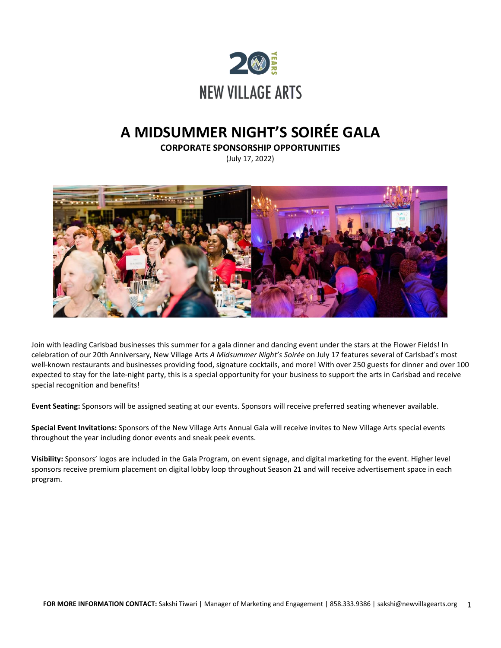

# **A MIDSUMMER NIGHT'S SOIRÉE GALA**

**CORPORATE SPONSORSHIP OPPORTUNITIES**

(July 17, 2022)



Join with leading Carlsbad businesses this summer for a gala dinner and dancing event under the stars at the Flower Fields! In celebration of our 20th Anniversary, New Village Arts *A Midsummer Night's Soirée* on July 17 features several of Carlsbad's most well-known restaurants and businesses providing food, signature cocktails, and more! With over 250 guests for dinner and over 100 expected to stay for the late-night party, this is a special opportunity for your business to support the arts in Carlsbad and receive special recognition and benefits!

**Event Seating:** Sponsors will be assigned seating at our events. Sponsors will receive preferred seating whenever available.

**Special Event Invitations:** Sponsors of the New Village Arts Annual Gala will receive invites to New Village Arts special events throughout the year including donor events and sneak peek events.

**Visibility:** Sponsors' logos are included in the Gala Program, on event signage, and digital marketing for the event. Higher level sponsors receive premium placement on digital lobby loop throughout Season 21 and will receive advertisement space in each program.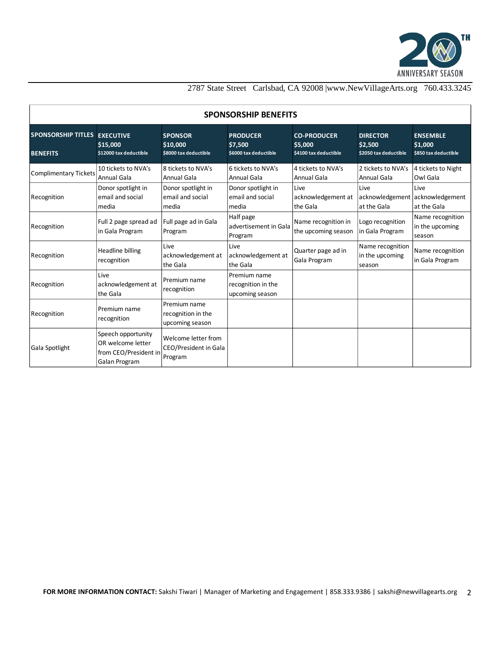

### 2787 State Street Carlsbad, CA 92008 |www.NewVillageArts.org 760.433.3245

| <b>SPONSORSHIP BENEFITS</b>                            |                                                                                   |                                                         |                                                       |                                                        |                                                        |                                                    |
|--------------------------------------------------------|-----------------------------------------------------------------------------------|---------------------------------------------------------|-------------------------------------------------------|--------------------------------------------------------|--------------------------------------------------------|----------------------------------------------------|
| <b>SPONSORSHIP TITLES EXECUTIVE</b><br><b>BENEFITS</b> | \$15,000<br>\$12000 tax deductible                                                | <b>SPONSOR</b><br>\$10,000<br>\$8000 tax deductible     | <b>PRODUCER</b><br>\$7,500<br>\$6000 tax deductible   | <b>CO-PRODUCER</b><br>\$5,000<br>\$4100 tax deductible | <b>DIRECTOR</b><br>\$2,500<br>\$2050 tax deductible    | <b>ENSEMBLE</b><br>\$1,000<br>\$850 tax deductible |
| <b>Complimentary Tickets</b>                           | 10 tickets to NVA's<br>Annual Gala                                                | 8 tickets to NVA's<br>Annual Gala                       | 6 tickets to NVA's<br>Annual Gala                     | 4 tickets to NVA's<br><b>Annual Gala</b>               | 2 tickets to NVA's<br><b>Annual Gala</b>               | 4 tickets to Night<br>Owl Gala                     |
| Recognition                                            | Donor spotlight in<br>email and social<br>media                                   | Donor spotlight in<br>email and social<br>media         | Donor spotlight in<br>email and social<br>media       | Live<br>acknowledgement at<br>the Gala                 | Live<br>acknowledgement acknowledgement<br>at the Gala | Live<br>at the Gala                                |
| Recognition                                            | Full 2 page spread ad<br>in Gala Program                                          | Full page ad in Gala<br>Program                         | Half page<br>advertisement in Gala<br>Program         | Name recognition in<br>the upcoming season             | Logo recognition<br>in Gala Program                    | Name recognition<br>in the upcoming<br>season      |
| Recognition                                            | Headline billing<br>recognition                                                   | Live<br>acknowledgement at<br>the Gala                  | Live<br>acknowledgement at<br>the Gala                | Quarter page ad in<br>Gala Program                     | Name recognition<br>in the upcoming<br>season          | Name recognition<br>in Gala Program                |
| Recognition                                            | Live<br>acknowledgement at<br>the Gala                                            | Premium name<br>recognition                             | Premium name<br>recognition in the<br>upcoming season |                                                        |                                                        |                                                    |
| Recognition                                            | Premium name<br>recognition                                                       | Premium name<br>recognition in the<br>upcoming season   |                                                       |                                                        |                                                        |                                                    |
| Gala Spotlight                                         | Speech opportunity<br>OR welcome letter<br>from CEO/President in<br>Galan Program | Welcome letter from<br>CEO/President in Gala<br>Program |                                                       |                                                        |                                                        |                                                    |